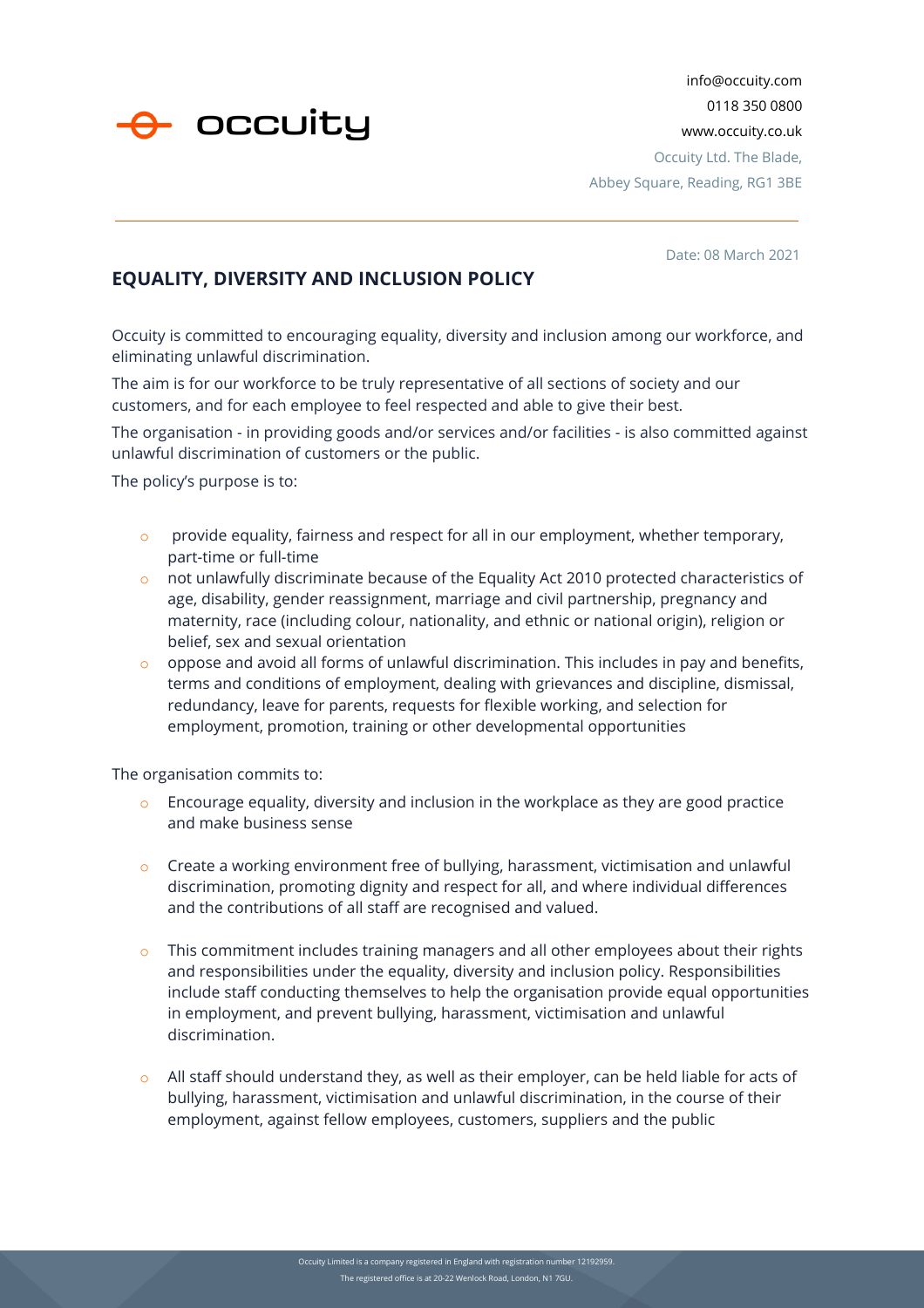

info@occuity.com 0118 350 0800 www.occuity.co.uk Occuity Ltd. The Blade, Abbey Square, Reading, RG1 3BE

Date: 08 March 2021

## **EQUALITY, DIVERSITY AND INCLUSION POLICY**

Occuity is committed to encouraging equality, diversity and inclusion among our workforce, and eliminating unlawful discrimination.

The aim is for our workforce to be truly representative of all sections of society and our customers, and for each employee to feel respected and able to give their best.

The organisation - in providing goods and/or services and/or facilities - is also committed against unlawful discrimination of customers or the public.

The policy's purpose is to:

- $\circ$  provide equality, fairness and respect for all in our employment, whether temporary, part-time or full-time
- o not unlawfully discriminate because of the Equality Act 2010 protected characteristics of age, disability, gender reassignment, marriage and civil partnership, pregnancy and maternity, race (including colour, nationality, and ethnic or national origin), religion or belief, sex and sexual orientation
- $\circ$  oppose and avoid all forms of unlawful discrimination. This includes in pay and benefits, terms and conditions of employment, dealing with grievances and discipline, dismissal, redundancy, leave for parents, requests for flexible working, and selection for employment, promotion, training or other developmental opportunities

The organisation commits to:

- $\circ$  Encourage equality, diversity and inclusion in the workplace as they are good practice and make business sense
- $\circ$  Create a working environment free of bullying, harassment, victimisation and unlawful discrimination, promoting dignity and respect for all, and where individual differences and the contributions of all staff are recognised and valued.
- $\circ$  This commitment includes training managers and all other employees about their rights and responsibilities under the equality, diversity and inclusion policy. Responsibilities include staff conducting themselves to help the organisation provide equal opportunities in employment, and prevent bullying, harassment, victimisation and unlawful discrimination.
- o All staff should understand they, as well as their employer, can be held liable for acts of bullying, harassment, victimisation and unlawful discrimination, in the course of their employment, against fellow employees, customers, suppliers and the public